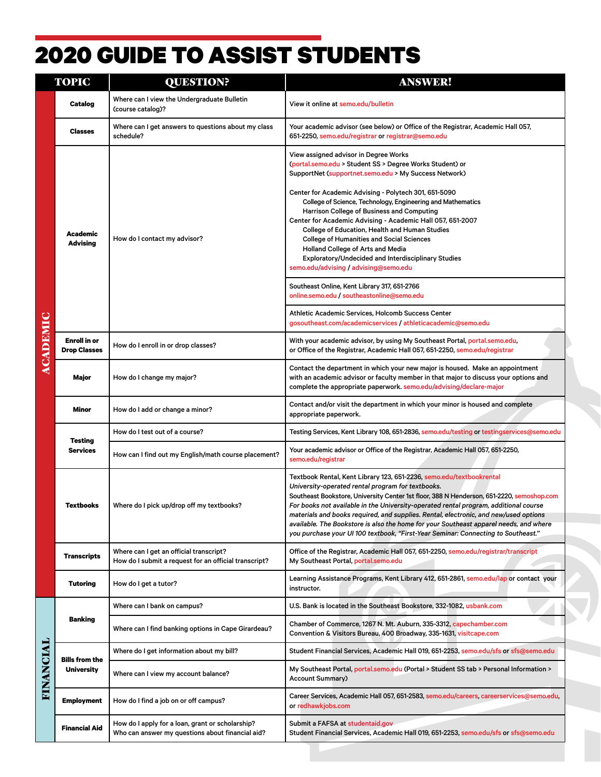## 2020 GUIDE TO ASSIST STUDENTS

| <b>TOPIC</b>    |                                            | <b>QUESTION?</b>                                                                                     | <b>ANSWER!</b>                                                                                                                                                                                                                                                                                                                                                                                                                                                                                                                                                                       |
|-----------------|--------------------------------------------|------------------------------------------------------------------------------------------------------|--------------------------------------------------------------------------------------------------------------------------------------------------------------------------------------------------------------------------------------------------------------------------------------------------------------------------------------------------------------------------------------------------------------------------------------------------------------------------------------------------------------------------------------------------------------------------------------|
|                 | Catalog                                    | Where can I view the Undergraduate Bulletin<br>(course catalog)?                                     | View it online at semo.edu/bulletin                                                                                                                                                                                                                                                                                                                                                                                                                                                                                                                                                  |
|                 | <b>Classes</b>                             | Where can I get answers to questions about my class<br>schedule?                                     | Your academic advisor (see below) or Office of the Registrar, Academic Hall 057,<br>651-2250, semo.edu/registrar or registrar@semo.edu                                                                                                                                                                                                                                                                                                                                                                                                                                               |
|                 |                                            |                                                                                                      | View assigned advisor in Degree Works<br>(portal.semo.edu > Student SS > Degree Works Student) or<br>SupportNet (supportnet.semo.edu > My Success Network)                                                                                                                                                                                                                                                                                                                                                                                                                           |
|                 | <b>Academic</b><br><b>Advising</b>         | How do I contact my advisor?                                                                         | Center for Academic Advising - Polytech 301, 651-5090<br>College of Science, Technology, Engineering and Mathematics<br>Harrison College of Business and Computing<br>Center for Academic Advising - Academic Hall 057, 651-2007<br>College of Education, Health and Human Studies<br><b>College of Humanities and Social Sciences</b><br>Holland College of Arts and Media<br>Exploratory/Undecided and Interdisciplinary Studies<br>semo.edu/advising / advising@semo.edu                                                                                                          |
|                 |                                            |                                                                                                      | Southeast Online, Kent Library 317, 651-2766<br>online.semo.edu / southeastonline@semo.edu                                                                                                                                                                                                                                                                                                                                                                                                                                                                                           |
|                 |                                            |                                                                                                      | Athletic Academic Services, Holcomb Success Center<br>gosoutheast.com/academicservices / athleticacademic@semo.edu                                                                                                                                                                                                                                                                                                                                                                                                                                                                   |
| <b>ACADEMIC</b> | <b>Enroll in or</b><br><b>Drop Classes</b> | How do I enroll in or drop classes?                                                                  | With your academic advisor, by using My Southeast Portal, portal.semo.edu,<br>or Office of the Registrar, Academic Hall 057, 651-2250, semo.edu/registrar                                                                                                                                                                                                                                                                                                                                                                                                                            |
|                 | Major                                      | How do I change my major?                                                                            | Contact the department in which your new major is housed. Make an appointment<br>with an academic advisor or faculty member in that major to discuss your options and<br>complete the appropriate paperwork. semo.edu/advising/declare-major                                                                                                                                                                                                                                                                                                                                         |
|                 | Minor                                      | How do I add or change a minor?                                                                      | Contact and/or visit the department in which your minor is housed and complete<br>appropriate paperwork.                                                                                                                                                                                                                                                                                                                                                                                                                                                                             |
|                 |                                            | How do I test out of a course?                                                                       | Testing Services, Kent Library 108, 651-2836, semo.edu/testing or testingservices@semo.edu                                                                                                                                                                                                                                                                                                                                                                                                                                                                                           |
|                 | <b>Testing</b><br><b>Services</b>          | How can I find out my English/math course placement?                                                 | Your academic advisor or Office of the Registrar, Academic Hall 057, 651-2250,<br>semo.edu/registrar                                                                                                                                                                                                                                                                                                                                                                                                                                                                                 |
|                 | Textbooks                                  | Where do I pick up/drop off my textbooks?                                                            | Textbook Rental, Kent Library 123, 651-2236, semo.edu/textbookrental<br>University-operated rental program for textbooks.<br>Southeast Bookstore, University Center 1st floor, 388 N Henderson, 651-2220, semoshop.com<br>For books not available in the University-operated rental program, additional course<br>materials and books required, and supplies. Rental, electronic, and new/used options<br>available. The Bookstore is also the home for your Southeast apparel needs, and where<br>you purchase your UI 100 textbook, "First-Year Seminar: Connecting to Southeast." |
|                 | <b>Transcripts</b>                         | Where can I get an official transcript?<br>How do I submit a request for an official transcript?     | Office of the Registrar, Academic Hall 057, 651-2250, semo.edu/registrar/transcript<br>My Southeast Portal, portal.semo.edu                                                                                                                                                                                                                                                                                                                                                                                                                                                          |
|                 | <b>Tutoring</b>                            | How do I get a tutor?                                                                                | Learning Assistance Programs, Kent Library 412, 651-2861, semo.edu/lap or contact your<br>instructor.                                                                                                                                                                                                                                                                                                                                                                                                                                                                                |
|                 | <b>Banking</b>                             | Where can I bank on campus?                                                                          | U.S. Bank is located in the Southeast Bookstore, 332-1082, usbank.com                                                                                                                                                                                                                                                                                                                                                                                                                                                                                                                |
|                 |                                            | Where can I find banking options in Cape Girardeau?                                                  | Chamber of Commerce, 1267 N. Mt. Auburn, 335-3312, capechamber.com<br>Convention & Visitors Bureau, 400 Broadway, 335-1631, visitcape.com                                                                                                                                                                                                                                                                                                                                                                                                                                            |
|                 | <b>Bills from the</b>                      | Where do I get information about my bill?                                                            | Student Financial Services, Academic Hall 019, 651-2253, semo.edu/sfs or sfs@semo.edu                                                                                                                                                                                                                                                                                                                                                                                                                                                                                                |
| FINANCIAL       | <b>University</b>                          | Where can I view my account balance?                                                                 | My Southeast Portal, portal.semo.edu (Portal > Student SS tab > Personal Information ><br><b>Account Summary)</b>                                                                                                                                                                                                                                                                                                                                                                                                                                                                    |
|                 | <b>Employment</b>                          | How do I find a job on or off campus?                                                                | Career Services, Academic Hall 057, 651-2583, semo.edu/careers, careerservices@semo.edu,<br>or redhawkjobs.com                                                                                                                                                                                                                                                                                                                                                                                                                                                                       |
|                 | <b>Financial Aid</b>                       | How do I apply for a loan, grant or scholarship?<br>Who can answer my questions about financial aid? | Submit a FAFSA at studentaid.gov<br>Student Financial Services, Academic Hall 019, 651-2253, semo.edu/sfs or sfs@semo.edu                                                                                                                                                                                                                                                                                                                                                                                                                                                            |